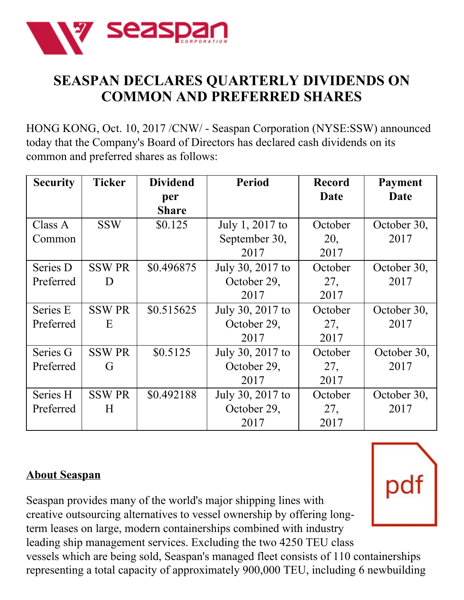

## **SEASPAN DECLARES QUARTERLY DIVIDENDS ON COMMON AND PREFERRED SHARES**

HONG KONG, Oct. 10, 2017 /CNW/ - Seaspan Corporation (NYSE:SSW) announced today that the Company's Board of Directors has declared cash dividends on its common and preferred shares as follows:

| <b>Security</b> | <b>Ticker</b> | <b>Dividend</b> | <b>Period</b>    | <b>Record</b> | <b>Payment</b> |
|-----------------|---------------|-----------------|------------------|---------------|----------------|
|                 |               | per             |                  | Date          | Date           |
|                 |               | <b>Share</b>    |                  |               |                |
| Class A         | <b>SSW</b>    | \$0.125         | July 1, 2017 to  | October       | October 30,    |
| Common          |               |                 | September 30,    | 20,           | 2017           |
|                 |               |                 | 2017             | 2017          |                |
| Series D        | <b>SSWPR</b>  | \$0.496875      | July 30, 2017 to | October       | October 30,    |
| Preferred       | D             |                 | October 29,      | 27,           | 2017           |
|                 |               |                 | 2017             | 2017          |                |
| Series E        | <b>SSWPR</b>  | \$0.515625      | July 30, 2017 to | October       | October 30,    |
| Preferred       | E             |                 | October 29,      | 27,           | 2017           |
|                 |               |                 | 2017             | 2017          |                |
| Series G        | <b>SSWPR</b>  | \$0.5125        | July 30, 2017 to | October       | October 30,    |
| Preferred       | G             |                 | October 29,      | 27,           | 2017           |
|                 |               |                 | 2017             | 2017          |                |
| Series H        | <b>SSWPR</b>  | \$0.492188      | July 30, 2017 to | October       | October 30,    |
| Preferred       | H             |                 | October 29,      | 27,           | 2017           |
|                 |               |                 | 2017             | 2017          |                |

## **About Seaspan**

Seaspan provides many of the world's major shipping lines with creative outsourcing alternatives to vessel ownership by offering longterm leases on large, modern containerships combined with industry leading ship management services. Excluding the two 4250 TEU class vessels which are being sold, Seaspan's managed fleet consists of 110 containerships representing a total capacity of approximately 900,000 TEU, including 6 newbuilding